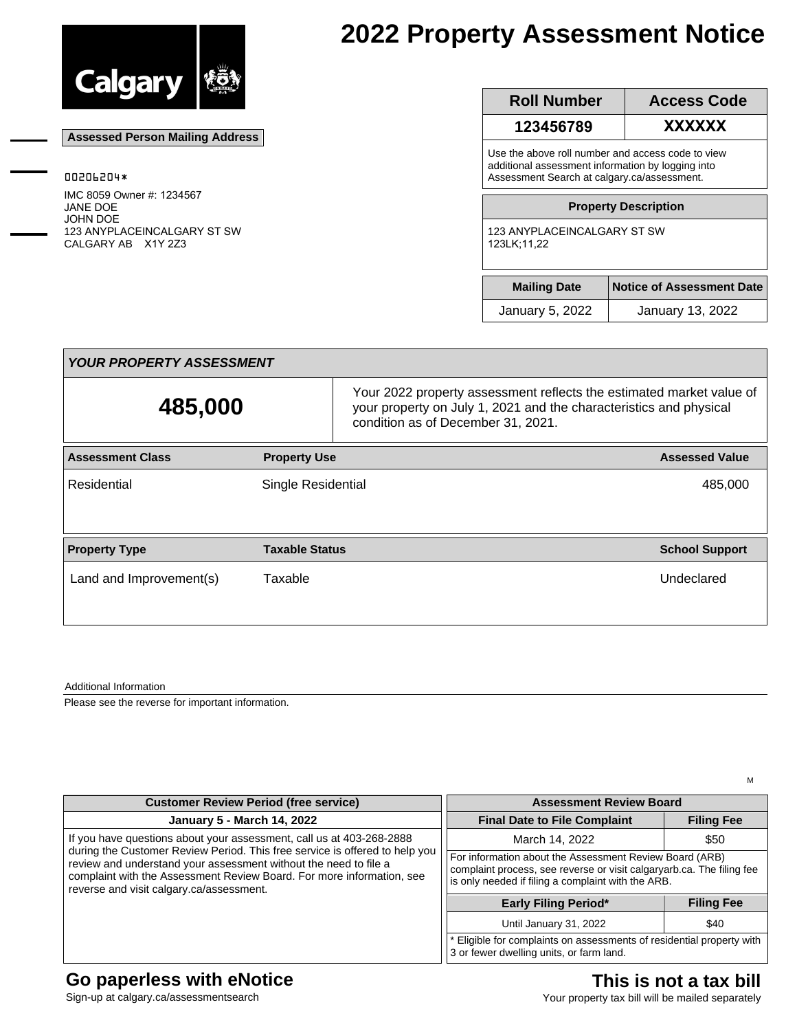

 **Assessed Person Mailing Address**

00206204\*

JANE DOE JOHN DOE

IMC 8059 Owner #: 1234567

CALGARY AB X1Y 2Z3

123 ANYPLACEINCALGARY ST SW

# **2022 Property Assessment Notice**

| <b>Roll Number</b>                                                                                                                                    | <b>Access Code</b>               |  |
|-------------------------------------------------------------------------------------------------------------------------------------------------------|----------------------------------|--|
| 123456789                                                                                                                                             | XXXXXX                           |  |
| Use the above roll number and access code to view<br>additional assessment information by logging into<br>Assessment Search at calgary.ca/assessment. |                                  |  |
|                                                                                                                                                       | <b>Property Description</b>      |  |
| 123 ANYPLACEINCALGARY ST SW<br>123LK:11.22                                                                                                            |                                  |  |
| <b>Mailing Date</b>                                                                                                                                   | <b>Notice of Assessment Date</b> |  |
|                                                                                                                                                       |                                  |  |

| <b>YOUR PROPERTY ASSESSMENT</b> |                           |                                                                                                                                                                                  |                       |  |  |
|---------------------------------|---------------------------|----------------------------------------------------------------------------------------------------------------------------------------------------------------------------------|-----------------------|--|--|
| 485,000                         |                           | Your 2022 property assessment reflects the estimated market value of<br>your property on July 1, 2021 and the characteristics and physical<br>condition as of December 31, 2021. |                       |  |  |
| <b>Assessment Class</b>         | <b>Property Use</b>       |                                                                                                                                                                                  | <b>Assessed Value</b> |  |  |
| Residential                     | <b>Single Residential</b> |                                                                                                                                                                                  | 485,000               |  |  |
| <b>Property Type</b>            | <b>Taxable Status</b>     |                                                                                                                                                                                  | <b>School Support</b> |  |  |
| Land and Improvement(s)         | Taxable                   |                                                                                                                                                                                  | Undeclared            |  |  |

Additional Information

Please see the reverse for important information.

| <b>Customer Review Period (free service)</b>                                                                                                                                                                                                                                                                                                 | <b>Assessment Review Board</b>                                                                                                                                                         |                   |
|----------------------------------------------------------------------------------------------------------------------------------------------------------------------------------------------------------------------------------------------------------------------------------------------------------------------------------------------|----------------------------------------------------------------------------------------------------------------------------------------------------------------------------------------|-------------------|
| <b>January 5 - March 14, 2022</b>                                                                                                                                                                                                                                                                                                            | <b>Final Date to File Complaint</b>                                                                                                                                                    | <b>Filing Fee</b> |
| If you have questions about your assessment, call us at 403-268-2888<br>during the Customer Review Period. This free service is offered to help you<br>review and understand your assessment without the need to file a<br>complaint with the Assessment Review Board. For more information, see<br>reverse and visit calgary.ca/assessment. | March 14, 2022                                                                                                                                                                         | \$50              |
|                                                                                                                                                                                                                                                                                                                                              | For information about the Assessment Review Board (ARB)<br>complaint process, see reverse or visit calgaryarb.ca. The filing fee<br>is only needed if filing a complaint with the ARB. |                   |
|                                                                                                                                                                                                                                                                                                                                              | <b>Early Filing Period*</b>                                                                                                                                                            | <b>Filing Fee</b> |
|                                                                                                                                                                                                                                                                                                                                              | Until January 31, 2022                                                                                                                                                                 | \$40              |
|                                                                                                                                                                                                                                                                                                                                              | * Eligible for complaints on assessments of residential property with<br>3 or fewer dwelling units, or farm land.                                                                      |                   |

#### **Go paperless with eNotice**

Sign-up at calgary.ca/assessmentsearch

## **This is not a tax bill**

M

Your property tax bill will be mailed separately